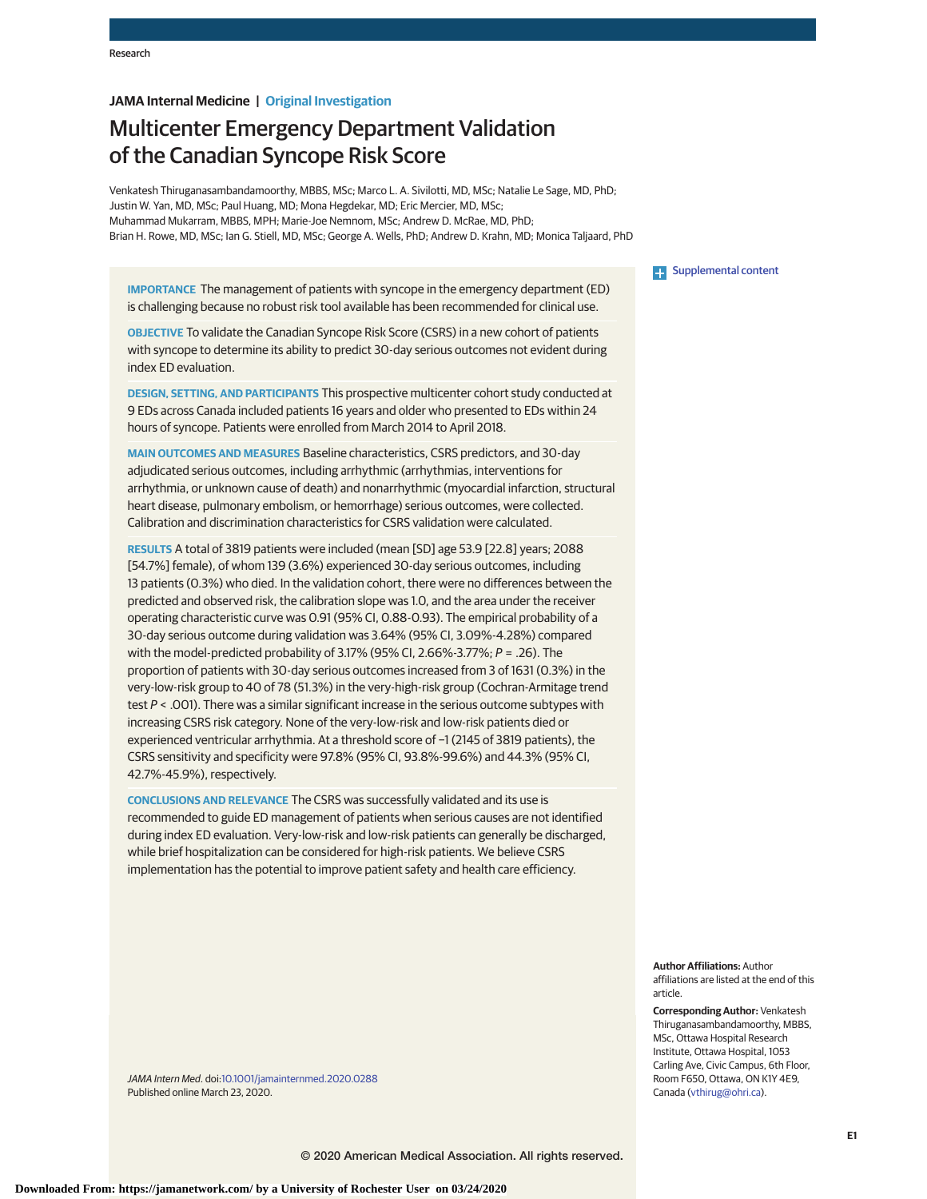# **JAMA Internal Medicine | Original Investigation**

# Multicenter Emergency Department Validation of the Canadian Syncope Risk Score

Venkatesh Thiruganasambandamoorthy, MBBS, MSc; Marco L. A. Sivilotti, MD, MSc; Natalie Le Sage, MD, PhD; Justin W. Yan, MD, MSc; Paul Huang, MD; Mona Hegdekar, MD; Eric Mercier, MD, MSc; Muhammad Mukarram, MBBS, MPH; Marie-Joe Nemnom, MSc; Andrew D. McRae, MD, PhD; Brian H. Rowe, MD, MSc; Ian G. Stiell, MD, MSc; George A. Wells, PhD; Andrew D. Krahn, MD; Monica Taljaard, PhD

**IMPORTANCE** The management of patients with syncope in the emergency department (ED) is challenging because no robust risk tool available has been recommended for clinical use.

**OBJECTIVE** To validate the Canadian Syncope Risk Score (CSRS) in a new cohort of patients with syncope to determine its ability to predict 30-day serious outcomes not evident during index ED evaluation.

**DESIGN, SETTING, AND PARTICIPANTS** This prospective multicenter cohort study conducted at 9 EDs across Canada included patients 16 years and older who presented to EDs within 24 hours of syncope. Patients were enrolled from March 2014 to April 2018.

**MAIN OUTCOMES AND MEASURES** Baseline characteristics, CSRS predictors, and 30-day adjudicated serious outcomes, including arrhythmic (arrhythmias, interventions for arrhythmia, or unknown cause of death) and nonarrhythmic (myocardial infarction, structural heart disease, pulmonary embolism, or hemorrhage) serious outcomes, were collected. Calibration and discrimination characteristics for CSRS validation were calculated.

**RESULTS** A total of 3819 patients were included (mean [SD] age 53.9 [22.8] years; 2088 [54.7%] female), of whom 139 (3.6%) experienced 30-day serious outcomes, including 13 patients (0.3%) who died. In the validation cohort, there were no differences between the predicted and observed risk, the calibration slope was 1.0, and the area under the receiver operating characteristic curve was 0.91 (95% CI, 0.88-0.93). The empirical probability of a 30-day serious outcome during validation was 3.64% (95% CI, 3.09%-4.28%) compared with the model-predicted probability of 3.17% (95% CI, 2.66%-3.77%;  $P = .26$ ). The proportion of patients with 30-day serious outcomes increased from 3 of 1631 (0.3%) in the very-low-risk group to 40 of 78 (51.3%) in the very-high-risk group (Cochran-Armitage trend test  $P < .001$ ). There was a similar significant increase in the serious outcome subtypes with increasing CSRS risk category. None of the very-low-risk and low-risk patients died or experienced ventricular arrhythmia. At a threshold score of −1 (2145 of 3819 patients), the CSRS sensitivity and specificity were 97.8% (95% CI, 93.8%-99.6%) and 44.3% (95% CI, 42.7%-45.9%), respectively.

**CONCLUSIONS AND RELEVANCE** The CSRS was successfully validated and its use is recommended to guide ED management of patients when serious causes are not identified during index ED evaluation. Very-low-risk and low-risk patients can generally be discharged, while brief hospitalization can be considered for high-risk patients. We believe CSRS implementation has the potential to improve patient safety and health care efficiency.

JAMA Intern Med. doi[:10.1001/jamainternmed.2020.0288](https://jamanetwork.com/journals/jama/fullarticle/10.1001/jamainternmed.2020.0288?utm_campaign=articlePDF%26utm_medium=articlePDFlink%26utm_source=articlePDF%26utm_content=jamainternmed.2020.0288) Published online March 23, 2020.

**Examplemental content** 

**Author Affiliations:** Author affiliations are listed at the end of this article.

**Corresponding Author:** Venkatesh Thiruganasambandamoorthy, MBBS, MSc, Ottawa Hospital Research Institute, Ottawa Hospital, 1053 Carling Ave, Civic Campus, 6th Floor, Room F650, Ottawa, ON K1Y 4E9, Canada [\(vthirug@ohri.ca\)](mailto:vthirug@ohri.ca).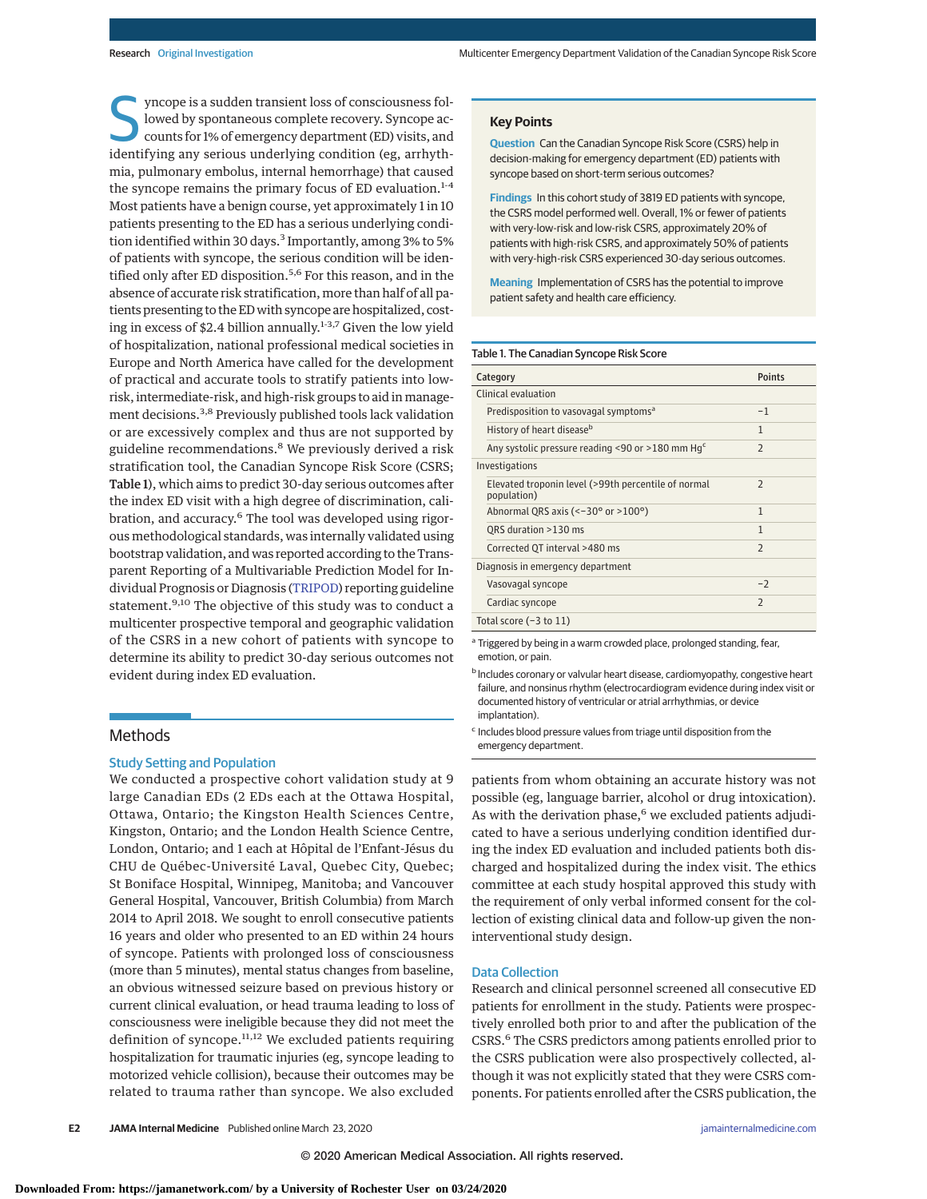S yncope is a sudden transient loss of consciousness fol-<br>
lowed by spontaneous complete recovery. Syncope ac-<br>
counts for 1% of emergency department (ED) visits, and<br>
identifying any sorious underlying condition (or, arrh lowed by spontaneous complete recovery. Syncope acidentifying any serious underlying condition (eg, arrhythmia, pulmonary embolus, internal hemorrhage) that caused the syncope remains the primary focus of ED evaluation.<sup>1-4</sup> Most patients have a benign course, yet approximately 1 in 10 patients presenting to the ED has a serious underlying condition identified within 30 days.<sup>3</sup> Importantly, among 3% to 5% of patients with syncope, the serious condition will be identified only after ED disposition.<sup>5,6</sup> For this reason, and in the absence of accurate risk stratification, more than half of all patients presenting to the ED with syncope are hospitalized, costing in excess of \$2.4 billion annually.<sup>1-3,7</sup> Given the low yield of hospitalization, national professional medical societies in Europe and North America have called for the development of practical and accurate tools to stratify patients into lowrisk, intermediate-risk, and high-risk groups to aid in management decisions.3,8 Previously published tools lack validation or are excessively complex and thus are not supported by guideline recommendations.<sup>8</sup> We previously derived a risk stratification tool, the Canadian Syncope Risk Score (CSRS; Table 1), which aims to predict 30-day serious outcomes after the index ED visit with a high degree of discrimination, calibration, and accuracy.<sup>6</sup> The tool was developed using rigorous methodological standards, was internally validated using bootstrap validation, and was reported according to the Transparent Reporting of a Multivariable Prediction Model for Individual Prognosis or Diagnosis [\(TRIPOD\)](http://www.equator-network.org/reporting-guidelines/tripod-statement/) reporting guideline statement.<sup>9,10</sup> The objective of this study was to conduct a multicenter prospective temporal and geographic validation of the CSRS in a new cohort of patients with syncope to determine its ability to predict 30-day serious outcomes not evident during index ED evaluation.

## Methods

## Study Setting and Population

We conducted a prospective cohort validation study at 9 large Canadian EDs (2 EDs each at the Ottawa Hospital, Ottawa, Ontario; the Kingston Health Sciences Centre, Kingston, Ontario; and the London Health Science Centre, London, Ontario; and 1 each at Hôpital de l'Enfant-Jésus du CHU de Québec-Université Laval, Quebec City, Quebec; St Boniface Hospital, Winnipeg, Manitoba; and Vancouver General Hospital, Vancouver, British Columbia) from March 2014 to April 2018. We sought to enroll consecutive patients 16 years and older who presented to an ED within 24 hours of syncope. Patients with prolonged loss of consciousness (more than 5 minutes), mental status changes from baseline, an obvious witnessed seizure based on previous history or current clinical evaluation, or head trauma leading to loss of consciousness were ineligible because they did not meet the definition of syncope. $11,12$  We excluded patients requiring hospitalization for traumatic injuries (eg, syncope leading to motorized vehicle collision), because their outcomes may be related to trauma rather than syncope. We also excluded

## **Key Points**

**Question** Can the Canadian Syncope Risk Score (CSRS) help in decision-making for emergency department (ED) patients with syncope based on short-term serious outcomes?

**Findings** In this cohort study of 3819 ED patients with syncope, the CSRS model performed well. Overall, 1% or fewer of patients with very-low-risk and low-risk CSRS, approximately 20% of patients with high-risk CSRS, and approximately 50% of patients with very-high-risk CSRS experienced 30-day serious outcomes.

**Meaning** Implementation of CSRS has the potential to improve patient safety and health care efficiency.

## Table 1. The Canadian Syncope Risk Score

| Category                                                           | <b>Points</b>            |  |  |  |
|--------------------------------------------------------------------|--------------------------|--|--|--|
| Clinical evaluation                                                |                          |  |  |  |
| Predisposition to vasovagal symptoms <sup>a</sup>                  | $-1$                     |  |  |  |
| History of heart disease <sup>b</sup>                              | $\mathbf{1}$             |  |  |  |
| Any systolic pressure reading <90 or >180 mm $Hgc$                 | $\overline{2}$           |  |  |  |
| Investigations                                                     |                          |  |  |  |
| Elevated troponin level (>99th percentile of normal<br>population) | $\overline{\phantom{0}}$ |  |  |  |
| Abnormal QRS axis ( $\le$ -30 $\degree$ or $\ge$ 100 $\degree$ )   | 1                        |  |  |  |
| QRS duration >130 ms                                               | 1                        |  |  |  |
| Corrected QT interval >480 ms                                      | $\overline{\phantom{0}}$ |  |  |  |
| Diagnosis in emergency department                                  |                          |  |  |  |
| Vasovagal syncope                                                  | $-2$                     |  |  |  |
| Cardiac syncope                                                    | $\overline{\phantom{0}}$ |  |  |  |
| Total score $(-3$ to $11)$                                         |                          |  |  |  |

<sup>a</sup> Triggered by being in a warm crowded place, prolonged standing, fear, emotion, or pain.

**b** Includes coronary or valvular heart disease, cardiomyopathy, congestive heart failure, and nonsinus rhythm (electrocardiogram evidence during index visit or documented history of ventricular or atrial arrhythmias, or device implantation).

<sup>c</sup> Includes blood pressure values from triage until disposition from the emergency department.

patients from whom obtaining an accurate history was not possible (eg, language barrier, alcohol or drug intoxication). As with the derivation phase, $6$  we excluded patients adjudicated to have a serious underlying condition identified during the index ED evaluation and included patients both discharged and hospitalized during the index visit. The ethics committee at each study hospital approved this study with the requirement of only verbal informed consent for the collection of existing clinical data and follow-up given the noninterventional study design.

## Data Collection

Research and clinical personnel screened all consecutive ED patients for enrollment in the study. Patients were prospectively enrolled both prior to and after the publication of the CSRS.6 The CSRS predictors among patients enrolled prior to the CSRS publication were also prospectively collected, although it was not explicitly stated that they were CSRS components. For patients enrolled after the CSRS publication, the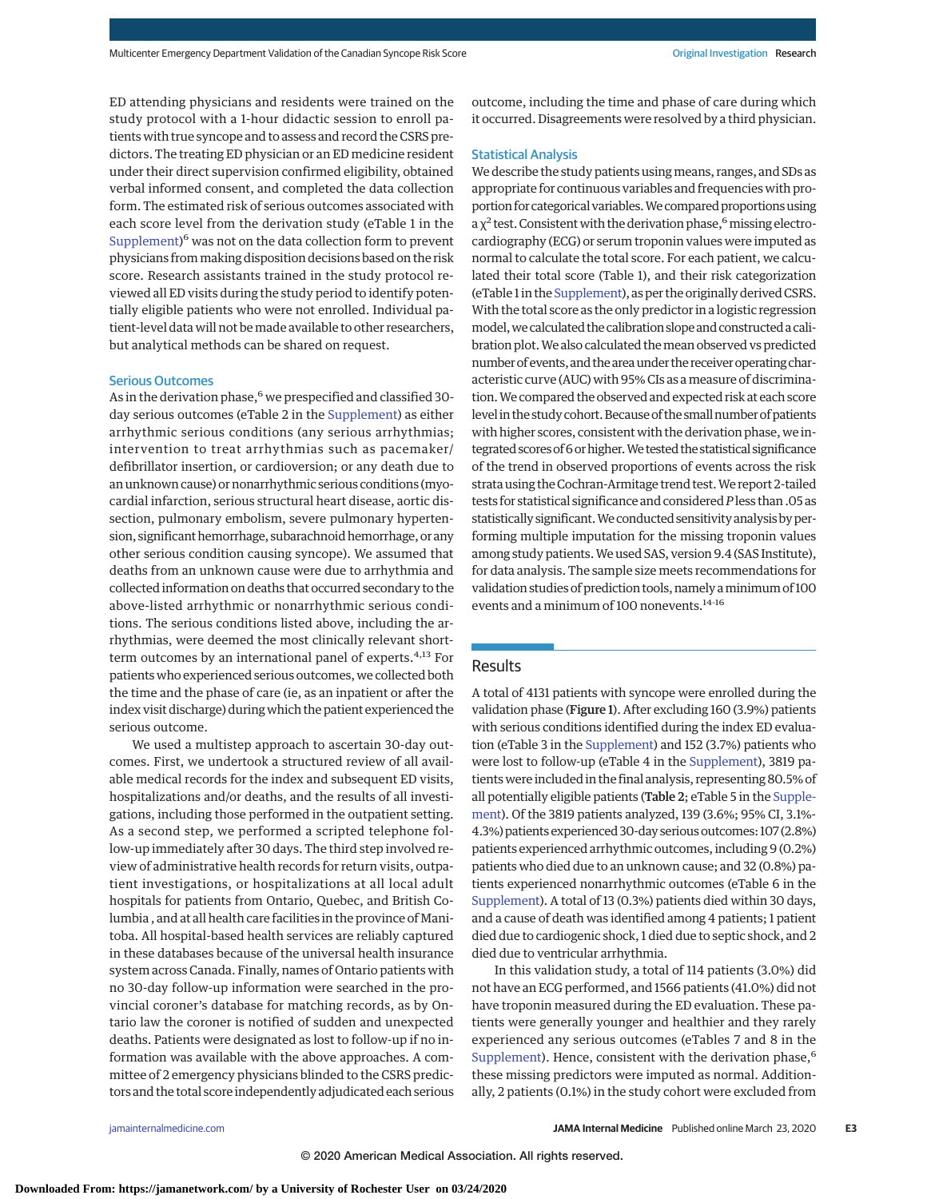ED attending physicians and residents were trained on the study protocol with a 1-hour didactic session to enroll patients with true syncope and to assess and record the CSRS predictors. The treating ED physician or an ED medicine resident under their direct supervision confirmed eligibility, obtained verbal informed consent, and completed the data collection form. The estimated risk of serious outcomes associated with each score level from the derivation study (eTable 1 in the [Supplement\)](https://jamanetwork.com/journals/jama/fullarticle/10.1001/jamainternmed.2020.0288?utm_campaign=articlePDF%26utm_medium=articlePDFlink%26utm_source=articlePDF%26utm_content=jamainternmed.2020.0288)<sup>6</sup> was not on the data collection form to prevent physicians frommaking disposition decisions based on the risk score. Research assistants trained in the study protocol reviewed all ED visits during the study period to identify potentially eligible patients who were not enrolled. Individual patient-level data will not bemade available to other researchers, but analytical methods can be shared on request.

#### Serious Outcomes

As in the derivation phase,<sup>6</sup> we prespecified and classified 30day serious outcomes (eTable 2 in the [Supplement\)](https://jamanetwork.com/journals/jama/fullarticle/10.1001/jamainternmed.2020.0288?utm_campaign=articlePDF%26utm_medium=articlePDFlink%26utm_source=articlePDF%26utm_content=jamainternmed.2020.0288) as either arrhythmic serious conditions (any serious arrhythmias; intervention to treat arrhythmias such as pacemaker/ defibrillator insertion, or cardioversion; or any death due to an unknown cause) or nonarrhythmic serious conditions (myocardial infarction, serious structural heart disease, aortic dissection, pulmonary embolism, severe pulmonary hypertension, significant hemorrhage, subarachnoid hemorrhage, or any other serious condition causing syncope). We assumed that deaths from an unknown cause were due to arrhythmia and collected information on deaths that occurred secondary to the above-listed arrhythmic or nonarrhythmic serious conditions. The serious conditions listed above, including the arrhythmias, were deemed the most clinically relevant shortterm outcomes by an international panel of experts.<sup>4,13</sup> For patients who experienced serious outcomes, we collected both the time and the phase of care (ie, as an inpatient or after the index visit discharge) during which the patient experienced the serious outcome.

We used a multistep approach to ascertain 30-day outcomes. First, we undertook a structured review of all available medical records for the index and subsequent ED visits, hospitalizations and/or deaths, and the results of all investigations, including those performed in the outpatient setting. As a second step, we performed a scripted telephone follow-up immediately after 30 days. The third step involved review of administrative health records for return visits, outpatient investigations, or hospitalizations at all local adult hospitals for patients from Ontario, Quebec, and British Columbia , and at all health care facilities in the province of Manitoba. All hospital-based health services are reliably captured in these databases because of the universal health insurance system across Canada. Finally, names of Ontario patients with no 30-day follow-up information were searched in the provincial coroner's database for matching records, as by Ontario law the coroner is notified of sudden and unexpected deaths. Patients were designated as lost to follow-up if no information was available with the above approaches. A committee of 2 emergency physicians blinded to the CSRS predictors and the total score independently adjudicated each serious outcome, including the time and phase of care during which it occurred. Disagreements were resolved by a third physician.

#### Statistical Analysis

We describe the study patients using means, ranges, and SDs as appropriate for continuous variables and frequencies with proportion for categorical variables. We compared proportions using a  $\chi^2$  test. Consistent with the derivation phase,<sup>6</sup> missing electrocardiography (ECG) or serum troponin values were imputed as normal to calculate the total score. For each patient, we calculated their total score (Table 1), and their risk categorization (eTable 1 in the [Supplement\)](https://jamanetwork.com/journals/jama/fullarticle/10.1001/jamainternmed.2020.0288?utm_campaign=articlePDF%26utm_medium=articlePDFlink%26utm_source=articlePDF%26utm_content=jamainternmed.2020.0288), as per the originally derived CSRS. With the total score as the only predictor in a logistic regression model, we calculated the calibration slope and constructed a calibration plot.We also calculated themean observed vs predicted number of events, and the area under the receiver operating characteristic curve (AUC) with 95% CIs as ameasure of discrimination.We compared the observed and expected risk at each score level in the study cohort. Because of the small number of patients with higher scores, consistent with the derivation phase, we integrated scores of 6 or higher. We tested the statistical significance of the trend in observed proportions of events across the risk strata using the Cochran-Armitage trend test.We report 2-tailed tests for statistical significance and considered*P*less than .05 as statistically significant. We conducted sensitivity analysis by performing multiple imputation for the missing troponin values among study patients.We used SAS, version 9.4 (SAS Institute), for data analysis. The sample size meets recommendations for validation studies of prediction tools, namely aminimum of 100 events and a minimum of 100 nonevents.<sup>14-16</sup>

# Results

A total of 4131 patients with syncope were enrolled during the validation phase (Figure 1). After excluding 160 (3.9%) patients with serious conditions identified during the index ED evaluation (eTable 3 in the [Supplement\)](https://jamanetwork.com/journals/jama/fullarticle/10.1001/jamainternmed.2020.0288?utm_campaign=articlePDF%26utm_medium=articlePDFlink%26utm_source=articlePDF%26utm_content=jamainternmed.2020.0288) and 152 (3.7%) patients who were lost to follow-up (eTable 4 in the [Supplement\)](https://jamanetwork.com/journals/jama/fullarticle/10.1001/jamainternmed.2020.0288?utm_campaign=articlePDF%26utm_medium=articlePDFlink%26utm_source=articlePDF%26utm_content=jamainternmed.2020.0288), 3819 patients were included in the final analysis, representing 80.5% of all potentially eligible patients (Table 2; eTable 5 in the [Supple](https://jamanetwork.com/journals/jama/fullarticle/10.1001/jamainternmed.2020.0288?utm_campaign=articlePDF%26utm_medium=articlePDFlink%26utm_source=articlePDF%26utm_content=jamainternmed.2020.0288)[ment\)](https://jamanetwork.com/journals/jama/fullarticle/10.1001/jamainternmed.2020.0288?utm_campaign=articlePDF%26utm_medium=articlePDFlink%26utm_source=articlePDF%26utm_content=jamainternmed.2020.0288). Of the 3819 patients analyzed, 139 (3.6%; 95% CI, 3.1%- 4.3%) patients experienced 30-day serious outcomes: 107 (2.8%) patients experienced arrhythmic outcomes, including 9 (0.2%) patients who died due to an unknown cause; and 32 (0.8%) patients experienced nonarrhythmic outcomes (eTable 6 in the [Supplement\)](https://jamanetwork.com/journals/jama/fullarticle/10.1001/jamainternmed.2020.0288?utm_campaign=articlePDF%26utm_medium=articlePDFlink%26utm_source=articlePDF%26utm_content=jamainternmed.2020.0288). A total of 13 (0.3%) patients died within 30 days, and a cause of death was identified among 4 patients; 1 patient died due to cardiogenic shock, 1 died due to septic shock, and 2 died due to ventricular arrhythmia.

In this validation study, a total of 114 patients (3.0%) did not have an ECG performed, and 1566 patients (41.0%) did not have troponin measured during the ED evaluation. These patients were generally younger and healthier and they rarely experienced any serious outcomes (eTables 7 and 8 in the [Supplement\)](https://jamanetwork.com/journals/jama/fullarticle/10.1001/jamainternmed.2020.0288?utm_campaign=articlePDF%26utm_medium=articlePDFlink%26utm_source=articlePDF%26utm_content=jamainternmed.2020.0288). Hence, consistent with the derivation phase,<sup>6</sup> these missing predictors were imputed as normal. Additionally, 2 patients (0.1%) in the study cohort were excluded from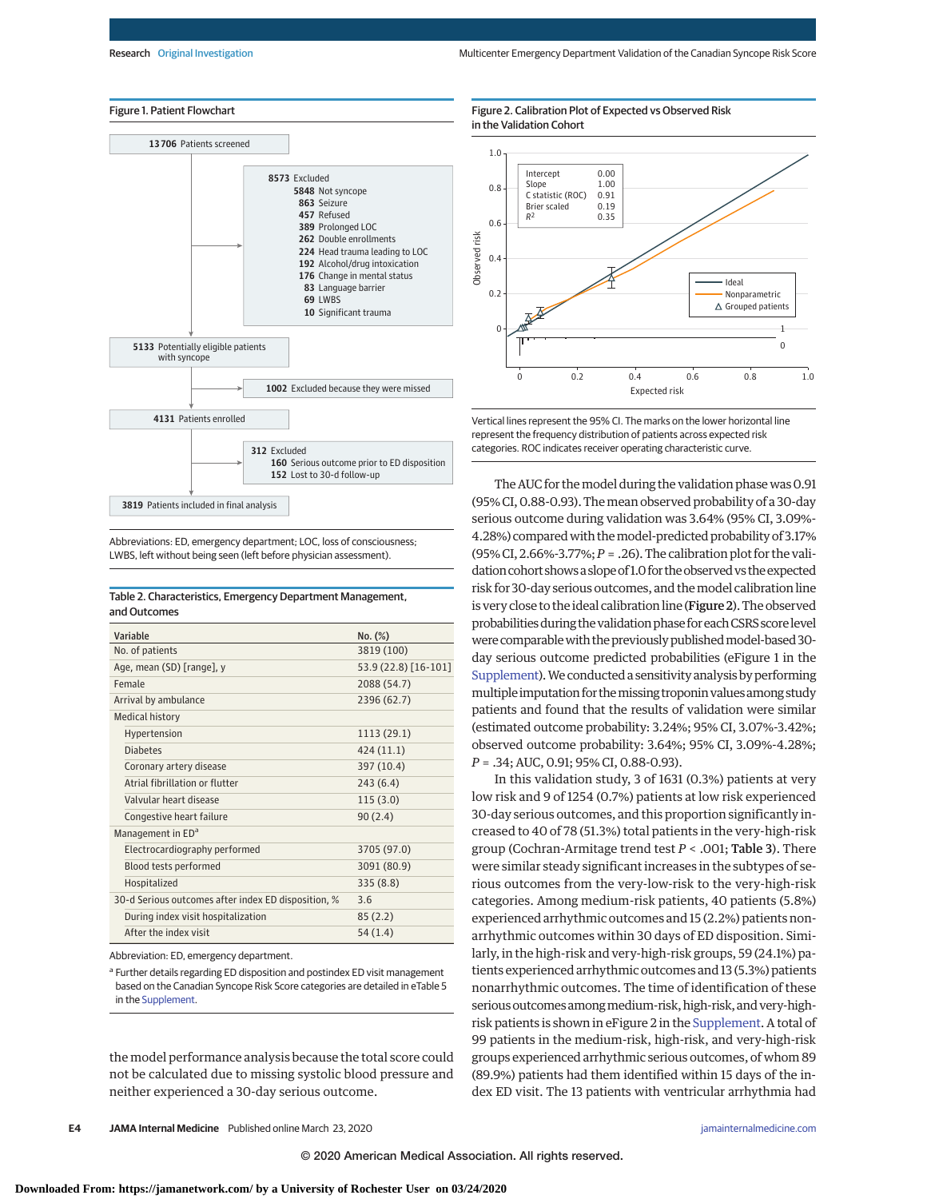## Figure 1. Patient Flowchart



Abbreviations: ED, emergency department; LOC, loss of consciousness; LWBS, left without being seen (left before physician assessment).

## Table 2. Characteristics, Emergency Department Management, and Outcomes

| Variable                                            | No. (%)              |
|-----------------------------------------------------|----------------------|
| No. of patients                                     | 3819 (100)           |
| Age, mean (SD) [range], y                           | 53.9 (22.8) [16-101] |
| Female                                              | 2088 (54.7)          |
| Arrival by ambulance                                | 2396 (62.7)          |
| <b>Medical history</b>                              |                      |
| Hypertension                                        | 1113 (29.1)          |
| Diabetes                                            | 424 (11.1)           |
| Coronary artery disease                             | 397 (10.4)           |
| Atrial fibrillation or flutter                      | 243(6.4)             |
| Valvular heart disease                              | 115(3.0)             |
| Congestive heart failure                            | 90(2.4)              |
| Management in ED <sup>a</sup>                       |                      |
| Electrocardiography performed                       | 3705 (97.0)          |
| Blood tests performed                               | 3091 (80.9)          |
| Hospitalized                                        | 335(8.8)             |
| 30-d Serious outcomes after index ED disposition, % | 3.6                  |
| During index visit hospitalization                  | 85(2.2)              |
| After the index visit                               | 54(1.4)              |

Abbreviation: ED, emergency department.

<sup>a</sup> Further details regarding ED disposition and postindex ED visit management based on the Canadian Syncope Risk Score categories are detailed in eTable 5 in the [Supplement.](https://jamanetwork.com/journals/jama/fullarticle/10.1001/jamainternmed.2020.0288?utm_campaign=articlePDF%26utm_medium=articlePDFlink%26utm_source=articlePDF%26utm_content=jamainternmed.2020.0288)

the model performance analysis because the total score could not be calculated due to missing systolic blood pressure and neither experienced a 30-day serious outcome.





Vertical lines represent the 95% CI. The marks on the lower horizontal line represent the frequency distribution of patients across expected risk categories. ROC indicates receiver operating characteristic curve.

The AUC for the model during the validation phase was 0.91 (95% CI, 0.88-0.93). Themean observed probability of a 30-day serious outcome during validation was 3.64% (95% CI, 3.09%- 4.28%) comparedwith themodel-predicted probability of 3.17% (95% CI, 2.66%-3.77%;*P* = .26). The calibration plot for the validation cohort shows a slope of 1.0 for the observed vs the expected risk for 30-day serious outcomes, and themodel calibration line is very close to the ideal calibration line (Figure 2). The observed probabilities during the validation phase for each CSRS score level were comparable with the previously published model-based 30day serious outcome predicted probabilities (eFigure 1 in the [Supplement\)](https://jamanetwork.com/journals/jama/fullarticle/10.1001/jamainternmed.2020.0288?utm_campaign=articlePDF%26utm_medium=articlePDFlink%26utm_source=articlePDF%26utm_content=jamainternmed.2020.0288). We conducted a sensitivity analysis by performing multiple imputation for the missing troponin values among study patients and found that the results of validation were similar (estimated outcome probability: 3.24%; 95% CI, 3.07%-3.42%; observed outcome probability: 3.64%; 95% CI, 3.09%-4.28%; *P* = .34; AUC, 0.91; 95% CI, 0.88-0.93).

In this validation study, 3 of 1631 (0.3%) patients at very low risk and 9 of 1254 (0.7%) patients at low risk experienced 30-day serious outcomes, and this proportion significantly increased to 40 of 78 (51.3%) total patients in the very-high-risk group (Cochran-Armitage trend test *P* < .001; Table 3). There were similar steady significant increases in the subtypes of serious outcomes from the very-low-risk to the very-high-risk categories. Among medium-risk patients, 40 patients (5.8%) experienced arrhythmic outcomes and 15 (2.2%) patients nonarrhythmic outcomes within 30 days of ED disposition. Similarly, in the high-risk and very-high-risk groups, 59 (24.1%) patients experienced arrhythmic outcomes and 13 (5.3%) patients nonarrhythmic outcomes. The time of identification of these serious outcomes among medium-risk, high-risk, and very-highrisk patients is shown in eFigure 2 in the [Supplement.](https://jamanetwork.com/journals/jama/fullarticle/10.1001/jamainternmed.2020.0288?utm_campaign=articlePDF%26utm_medium=articlePDFlink%26utm_source=articlePDF%26utm_content=jamainternmed.2020.0288) A total of 99 patients in the medium-risk, high-risk, and very-high-risk groups experienced arrhythmic serious outcomes, of whom 89 (89.9%) patients had them identified within 15 days of the index ED visit. The 13 patients with ventricular arrhythmia had

**E4 JAMA Internal Medicine** Published online March 23, 2020 **(Reprinted)** [jamainternalmedicine.com](http://www.jamainternalmedicine.com/?utm_campaign=articlePDF%26utm_medium=articlePDFlink%26utm_source=articlePDF%26utm_content=jamainternmed.2020.0288)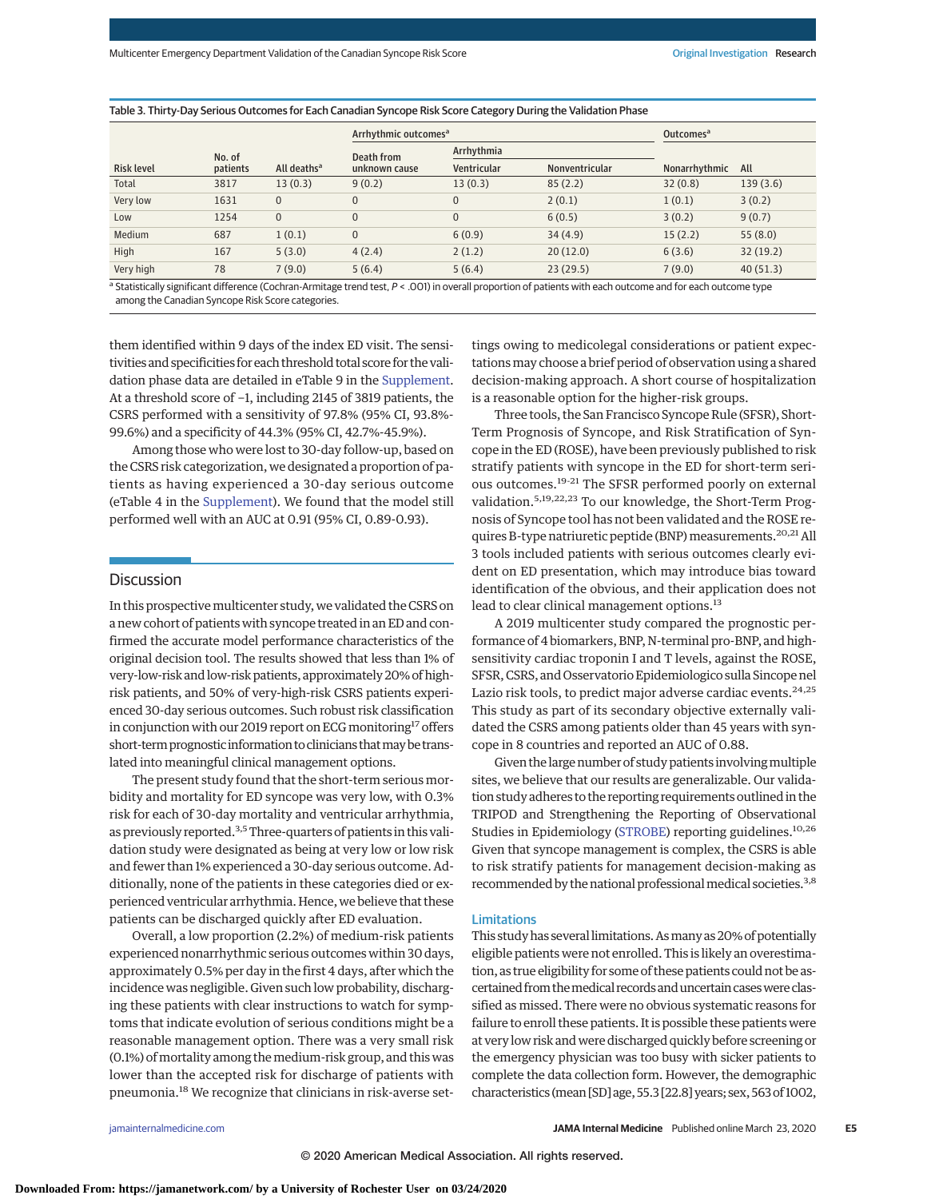| <b>Risk level</b> | No. of<br>patients | All deaths <sup>a</sup> | Arrhythmic outcomes <sup>a</sup> |              |                | Outcomes <sup>a</sup> |          |
|-------------------|--------------------|-------------------------|----------------------------------|--------------|----------------|-----------------------|----------|
|                   |                    |                         | Death from<br>unknown cause      | Arrhythmia   |                |                       |          |
|                   |                    |                         |                                  | Ventricular  | Nonventricular | Nonarrhythmic         | All      |
| Total             | 3817               | 13(0.3)                 | 9(0.2)                           | 13(0.3)      | 85(2.2)        | 32(0.8)               | 139(3.6) |
| Very low          | 1631               | $\Omega$                | $\mathbf{0}$                     | $\mathbf{0}$ | 2(0.1)         | 1(0.1)                | 3(0.2)   |
| Low               | 1254               | $\mathbf{0}$            | 0                                | $\mathbf{0}$ | 6(0.5)         | 3(0.2)                | 9(0.7)   |
| Medium            | 687                | 1(0.1)                  | $\mathbf{0}$                     | 6(0.9)       | 34(4.9)        | 15(2.2)               | 55(8.0)  |
| High              | 167                | 5(3.0)                  | 4(2.4)                           | 2(1.2)       | 20(12.0)       | 6(3.6)                | 32(19.2) |
| Very high         | 78                 | 7(9.0)                  | 5(6.4)                           | 5(6.4)       | 23(29.5)       | 7(9.0)                | 40(51.3) |

Statistically significant difference (Cochran-Armitage trend test, P < .001) in overall proportion of patients with each outcome and for each outcome type among the Canadian Syncope Risk Score categories.

them identified within 9 days of the index ED visit. The sensitivities and specificities for each threshold total score for the validation phase data are detailed in eTable 9 in the [Supplement.](https://jamanetwork.com/journals/jama/fullarticle/10.1001/jamainternmed.2020.0288?utm_campaign=articlePDF%26utm_medium=articlePDFlink%26utm_source=articlePDF%26utm_content=jamainternmed.2020.0288) At a threshold score of −1, including 2145 of 3819 patients, the CSRS performed with a sensitivity of 97.8% (95% CI, 93.8%- 99.6%) and a specificity of 44.3% (95% CI, 42.7%-45.9%).

Among those who were lost to 30-day follow-up, based on the CSRS risk categorization, we designated a proportion of patients as having experienced a 30-day serious outcome (eTable 4 in the [Supplement\)](https://jamanetwork.com/journals/jama/fullarticle/10.1001/jamainternmed.2020.0288?utm_campaign=articlePDF%26utm_medium=articlePDFlink%26utm_source=articlePDF%26utm_content=jamainternmed.2020.0288). We found that the model still performed well with an AUC at 0.91 (95% CI, 0.89-0.93).

# **Discussion**

In this prospective multicenter study, we validated the CSRS on a new cohort of patients with syncope treated in an ED and confirmed the accurate model performance characteristics of the original decision tool. The results showed that less than 1% of very-low-risk and low-risk patients, approximately 20% of highrisk patients, and 50% of very-high-risk CSRS patients experienced 30-day serious outcomes. Such robust risk classification in conjunction with our 2019 report on ECG monitoring<sup>17</sup> offers short-term prognostic information to clinicians that may be translated into meaningful clinical management options.

The present study found that the short-term serious morbidity and mortality for ED syncope was very low, with 0.3% risk for each of 30-day mortality and ventricular arrhythmia, as previously reported.<sup>3,5</sup> Three-quarters of patients in this validation study were designated as being at very low or low risk and fewer than 1% experienced a 30-day serious outcome. Additionally, none of the patients in these categories died or experienced ventricular arrhythmia. Hence, we believe that these patients can be discharged quickly after ED evaluation.

Overall, a low proportion (2.2%) of medium-risk patients experienced nonarrhythmic serious outcomes within 30 days, approximately 0.5% per day in the first 4 days, after which the incidence was negligible. Given such low probability, discharging these patients with clear instructions to watch for symptoms that indicate evolution of serious conditions might be a reasonable management option. There was a very small risk (0.1%) of mortality among the medium-risk group, and this was lower than the accepted risk for discharge of patients with pneumonia.<sup>18</sup> We recognize that clinicians in risk-averse set-

tings owing to medicolegal considerations or patient expectationsmay choose a brief period of observation using a shared decision-making approach. A short course of hospitalization is a reasonable option for the higher-risk groups.

Three tools, the San Francisco Syncope Rule (SFSR), Short-Term Prognosis of Syncope, and Risk Stratification of Syncope in the ED (ROSE), have been previously published to risk stratify patients with syncope in the ED for short-term serious outcomes.19-21 The SFSR performed poorly on external validation.5,19,22,23 To our knowledge, the Short-Term Prognosis of Syncope tool has not been validated and the ROSE requires B-type natriuretic peptide (BNP) measurements.<sup>20,21</sup> All 3 tools included patients with serious outcomes clearly evident on ED presentation, which may introduce bias toward identification of the obvious, and their application does not lead to clear clinical management options.<sup>13</sup>

A 2019 multicenter study compared the prognostic performance of 4 biomarkers, BNP, N-terminal pro-BNP, and highsensitivity cardiac troponin I and T levels, against the ROSE, SFSR, CSRS, and Osservatorio Epidemiologico sulla Sincope nel Lazio risk tools, to predict major adverse cardiac events.<sup>24,25</sup> This study as part of its secondary objective externally validated the CSRS among patients older than 45 years with syncope in 8 countries and reported an AUC of 0.88.

Given the large number of study patients involving multiple sites, we believe that our results are generalizable. Our validation study adheres to the reporting requirements outlined in the TRIPOD and Strengthening the Reporting of Observational Studies in Epidemiology [\(STROBE\)](http://www.equator-network.org/reporting-guidelines/strobe/) reporting guidelines.<sup>10,26</sup> Given that syncope management is complex, the CSRS is able to risk stratify patients for management decision-making as recommended by the national professional medical societies.<sup>3,8</sup>

### Limitations

This study has several limitations. Asmany as 20% of potentially eligible patients were not enrolled. This is likely an overestimation, as true eligibility for some of these patients could not be ascertained from themedical records anduncertaincaseswereclassified as missed. There were no obvious systematic reasons for failure to enroll these patients. It is possible these patients were at very low risk andwere discharged quickly before screening or the emergency physician was too busy with sicker patients to complete the data collection form. However, the demographic characteristics (mean [SD] age, 55.3 [22.8] years; sex, 563 of 1002,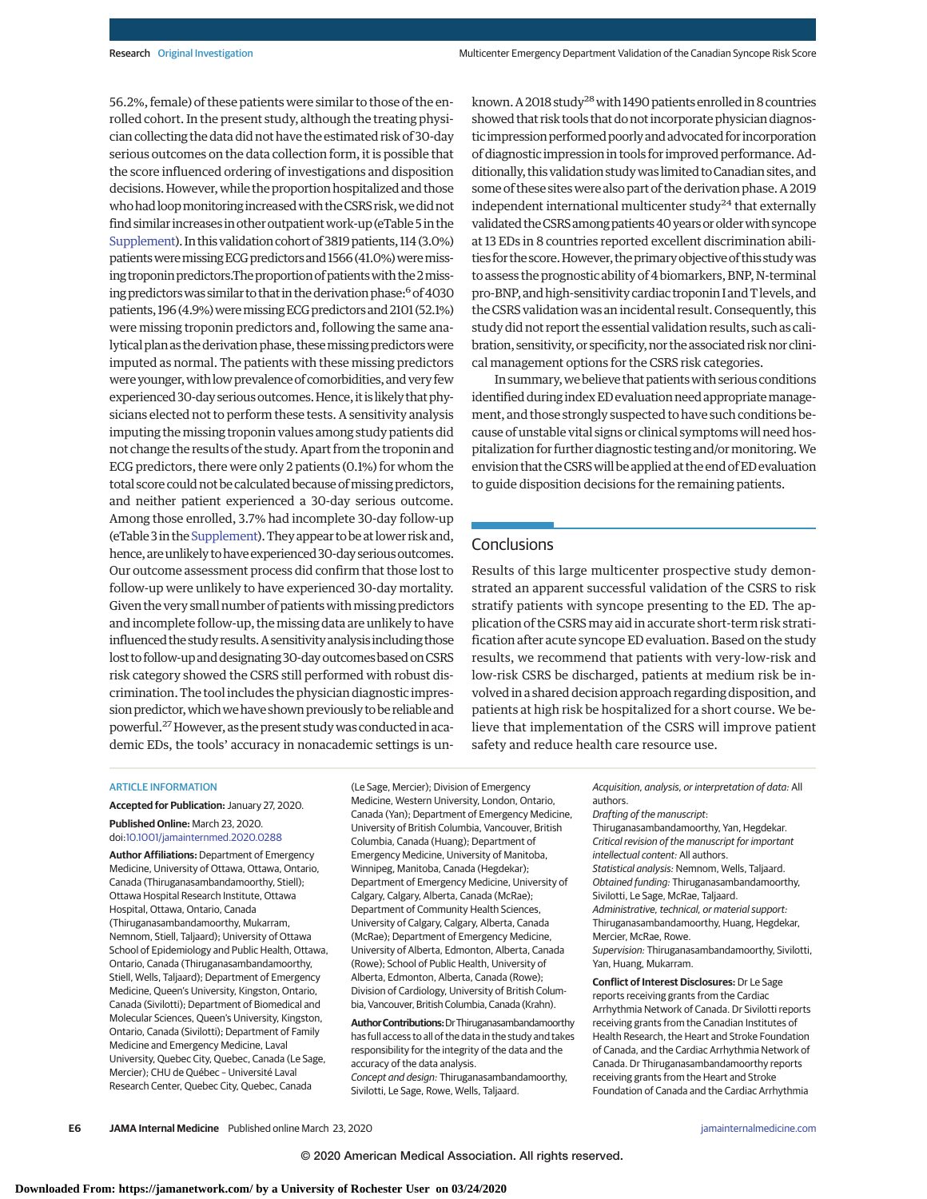56.2%, female) of these patients were similar to those of the enrolled cohort. In the present study, although the treating physician collecting the data did not have the estimated risk of 30-day serious outcomes on the data collection form, it is possible that the score influenced ordering of investigations and disposition decisions. However, while the proportion hospitalized and those who had loop monitoring increased with the CSRS risk, we did not find similar increases in other outpatient work-up (eTable 5 in the [Supplement\)](https://jamanetwork.com/journals/jama/fullarticle/10.1001/jamainternmed.2020.0288?utm_campaign=articlePDF%26utm_medium=articlePDFlink%26utm_source=articlePDF%26utm_content=jamainternmed.2020.0288). In this validation cohort of 3819 patients, 114 (3.0%) patients were missing ECG predictors and 1566 (41.0%) were missing troponin predictors.The proportion of patients with the 2 missing predictors was similar to that in the derivation phase:<sup>6</sup> of 4030 patients, 196 (4.9%) were missing ECG predictors and 2101 (52.1%) were missing troponin predictors and, following the same analytical plan as the derivation phase, these missing predictors were imputed as normal. The patients with these missing predictors were younger, with low prevalence of comorbidities, and very few experienced 30-day serious outcomes. Hence, it is likely that physicians elected not to perform these tests. A sensitivity analysis imputing the missing troponin values among study patients did not change the results of the study. Apart from the troponin and ECG predictors, there were only 2 patients (0.1%) for whom the total score could not be calculated because of missing predictors, and neither patient experienced a 30-day serious outcome. Among those enrolled, 3.7% had incomplete 30-day follow-up (eTable 3 in the Supplement). They appear to be at lower risk and, hence, are unlikely to have experienced 30-day serious outcomes. Our outcome assessment process did confirm that those lost to follow-up were unlikely to have experienced 30-day mortality. Given the very small number of patients with missing predictors and incomplete follow-up, themissing data are unlikely to have influenced thestudy results.Asensitivity analysis including those lost to follow-up and designating 30-day outcomes based on CSRS risk category showed the CSRS still performed with robust discrimination. The tool includes the physician diagnostic impression predictor, which we have shown previously to be reliable and powerful.<sup>27</sup> However, as the present study was conducted in academic EDs, the tools' accuracy in nonacademic settings is unknown. A 2018 study<sup>28</sup> with 1490 patients enrolled in 8 countries showed that risk tools that do not incorporate physician diagnostic impression performed poorly and advocated for incorporation of diagnostic impression in tools for improved performance. Additionally, this validation study was limited to Canadian sites, and some of these sites were also part of the derivation phase. A 2019 independent international multicenter study<sup>24</sup> that externally validated the CSRS among patients 40 years or older with syncope at 13 EDs in 8 countries reported excellent discrimination abilities for the score. However, the primary objective of this study was to assess the prognostic ability of 4 biomarkers, BNP, N-terminal pro-BNP, and high-sensitivity cardiac troponin I and T levels, and the CSRS validation was an incidental result. Consequently, this study did not report the essential validation results, such as calibration, sensitivity, or specificity, nor the associated risk nor clinical management options for the CSRS risk categories.

In summary, we believe that patients with serious conditions identified during index ED evaluation need appropriate management, and those strongly suspected to have such conditions because of unstable vital signs or clinical symptoms will need hospitalization for further diagnostic testing and/or monitoring. We envision that theCSRSwill be applied at the end ofED evaluation to guide disposition decisions for the remaining patients.

# **Conclusions**

Results of this large multicenter prospective study demonstrated an apparent successful validation of the CSRS to risk stratify patients with syncope presenting to the ED. The application of the CSRSmay aid in accurate short-term risk stratification after acute syncope ED evaluation. Based on the study results, we recommend that patients with very-low-risk and low-risk CSRS be discharged, patients at medium risk be involved in a shared decision approach regarding disposition, and patients at high risk be hospitalized for a short course. We believe that implementation of the CSRS will improve patient safety and reduce health care resource use.

#### ARTICLE INFORMATION

**Accepted for Publication:** January 27, 2020. **Published Online:** March 23, 2020. doi[:10.1001/jamainternmed.2020.0288](https://jamanetwork.com/journals/jama/fullarticle/10.1001/jamainternmed.2020.0288?utm_campaign=articlePDF%26utm_medium=articlePDFlink%26utm_source=articlePDF%26utm_content=jamainternmed.2020.0288)

**Author Affiliations:** Department of Emergency Medicine, University of Ottawa, Ottawa, Ontario, Canada (Thiruganasambandamoorthy, Stiell); Ottawa Hospital Research Institute, Ottawa Hospital, Ottawa, Ontario, Canada (Thiruganasambandamoorthy, Mukarram, Nemnom, Stiell, Taljaard); University of Ottawa School of Epidemiology and Public Health, Ottawa, Ontario, Canada (Thiruganasambandamoorthy, Stiell, Wells, Taljaard); Department of Emergency Medicine, Queen's University, Kingston, Ontario, Canada (Sivilotti); Department of Biomedical and Molecular Sciences, Queen's University, Kingston, Ontario, Canada (Sivilotti); Department of Family Medicine and Emergency Medicine, Laval University, Quebec City, Quebec, Canada (Le Sage, Mercier); CHU de Québec – Université Laval Research Center, Quebec City, Quebec, Canada

(Le Sage, Mercier); Division of Emergency Medicine, Western University, London, Ontario, Canada (Yan); Department of Emergency Medicine, University of British Columbia, Vancouver, British Columbia, Canada (Huang); Department of Emergency Medicine, University of Manitoba, Winnipeg, Manitoba, Canada (Hegdekar); Department of Emergency Medicine, University of Calgary, Calgary, Alberta, Canada (McRae); Department of Community Health Sciences, University of Calgary, Calgary, Alberta, Canada (McRae); Department of Emergency Medicine, University of Alberta, Edmonton, Alberta, Canada (Rowe); School of Public Health, University of Alberta, Edmonton, Alberta, Canada (Rowe); Division of Cardiology, University of British Columbia, Vancouver, British Columbia, Canada (Krahn).

**AuthorContributions:**DrThiruganasambandamoorthy has full access to all of the data in the study and takes responsibility for the integrity of the data and the accuracy of the data analysis. Concept and design: Thiruganasambandamoorthy, Sivilotti, Le Sage, Rowe, Wells, Taljaard.

Acquisition, analysis, or interpretation of data: All authors.

Drafting of the manuscript:

Thiruganasambandamoorthy, Yan, Hegdekar. Critical revision of the manuscript for important intellectual content: All authors. Statistical analysis: Nemnom, Wells, Taljaard. Obtained funding: Thiruganasambandamoorthy, Sivilotti, Le Sage, McRae, Taljaard. Administrative, technical, or material support: Thiruganasambandamoorthy, Huang, Hegdekar, Mercier, McRae, Rowe.

Supervision: Thiruganasambandamoorthy, Sivilotti, Yan, Huang, Mukarram.

**Conflict of Interest Disclosures:** Dr Le Sage reports receiving grants from the Cardiac Arrhythmia Network of Canada. Dr Sivilotti reports receiving grants from the Canadian Institutes of Health Research, the Heart and Stroke Foundation of Canada, and the Cardiac Arrhythmia Network of Canada. Dr Thiruganasambandamoorthy reports receiving grants from the Heart and Stroke Foundation of Canada and the Cardiac Arrhythmia